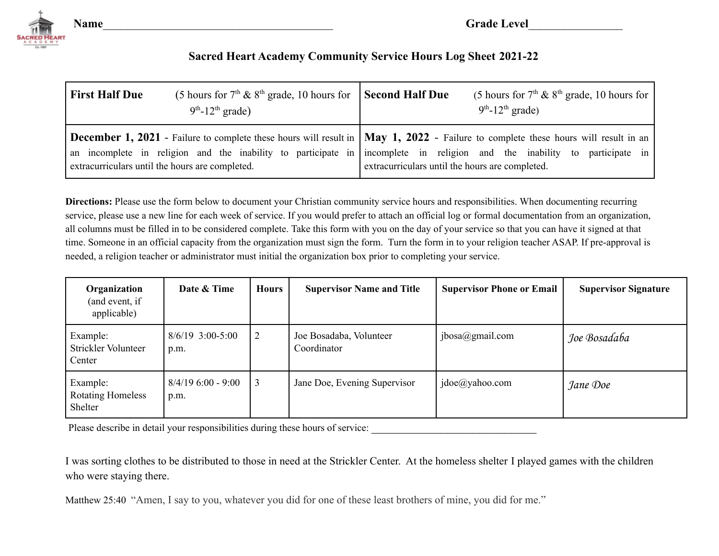

**Name Grade Level** 

## **Sacred Heart Academy Community Service Hours Log Sheet 2021-22**

| <b>First Half Due</b>                           | (5 hours for $7th$ & $8th$ grade, 10 hours for Second Half Due<br>$9th$ -12 <sup>th</sup> grade)                                                                                                                                                                                    |                                                 | (5 hours for $7th$ & $8th$ grade, 10 hours for<br>$9th - 12th$ grade) |
|-------------------------------------------------|-------------------------------------------------------------------------------------------------------------------------------------------------------------------------------------------------------------------------------------------------------------------------------------|-------------------------------------------------|-----------------------------------------------------------------------|
| extracurriculars until the hours are completed. | <b>December 1, 2021</b> - Failure to complete these hours will result in $\vert$ <b>May 1, 2022</b> - Failure to complete these hours will result in an<br>an incomplete in religion and the inability to participate in incomplete in religion and the inability to participate in | extracurriculars until the hours are completed. |                                                                       |

**Directions:** Please use the form below to document your Christian community service hours and responsibilities. When documenting recurring service, please use a new line for each week of service. If you would prefer to attach an official log or formal documentation from an organization, all columns must be filled in to be considered complete. Take this form with you on the day of your service so that you can have it signed at that time. Someone in an official capacity from the organization must sign the form. Turn the form in to your religion teacher ASAP. If pre-approval is needed, a religion teacher or administrator must initial the organization box prior to completing your service.

| Organization<br>(and event, if<br>applicable)   | Date & Time                  | <b>Hours</b> | <b>Supervisor Name and Title</b>       | <b>Supervisor Phone or Email</b> | <b>Supervisor Signature</b> |
|-------------------------------------------------|------------------------------|--------------|----------------------------------------|----------------------------------|-----------------------------|
| Example:<br>Strickler Volunteer<br>Center       | $8/6/19$ 3:00-5:00<br>p.m.   |              | Joe Bosadaba, Volunteer<br>Coordinator | jbosa@gmail.com                  | Joe Bosadaba                |
| Example:<br><b>Rotating Homeless</b><br>Shelter | $8/4/19$ 6:00 - 9:00<br>p.m. | 3            | Jane Doe, Evening Supervisor           | jdoe@yahoo.com                   | Jane Doe                    |

Please describe in detail your responsibilities during these hours of service:

I was sorting clothes to be distributed to those in need at the Strickler Center. At the homeless shelter I played games with the children who were staying there.

Matthew 25:40 "Amen, I say to you, whatever you did for one of these least brothers of mine, you did for me."